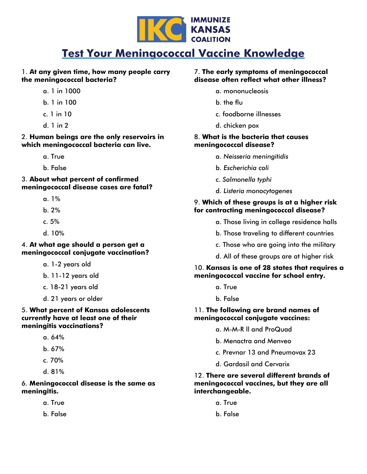

# **Test Your Meningococcal Vaccine Knowledge**

### 1. **At any given time, how many people carry the meningococcal bacteria?**

- a. 1 in 1000
- b. 1 in 100
- c. 1 in 10
- d. 1 in 2

2. **Human beings are the only reservoirs in which meningococcal bacteria can live.**

- a. True
- b. False

3. **About what percent of confirmed meningococcal disease cases are fatal?**

- a. 1%
- b. 2%
- c. 5%
- d. 10%

### 4. **At what age should a person get a meningococcal conjugate vaccination?**

- a. 1-2 years old
- b. 11-12 years old
- c. 18-21 years old
- d. 21 years or older

#### 5. **What percent of Kansas adolescents currently have at least one of their meningitis vaccinations?**

- a. 64%
- b. 67%
- c. 70%
- d. 81%

## 6. **Meningococcal disease is the same as meningitis.**

- a. True
- b. False

#### 7. **The early symptoms of meningococcal disease often reflect what other illness?**

- a. mononucleosis
- b. the flu
- c. foodborne illnesses
- d. chicken pox

#### 8. **What is the bacteria that causes meningococcal disease?**

- a. *Neisseria meningitidis*
- b. *Escherichia coli*
- c. *Salmonella typhi*
- d. *Listeria monocytogenes*

#### 9. **Which of these groups is at a higher risk for contracting meningococcal disease?**

- a. Those living in college residence halls
- b. Those traveling to different countries
- c. Those who are going into the military
- d. All of these groups are at higher risk

#### 10. **Kansas is one of 28 states that requires a meningococcal vaccine for school entry.**

- a. True
- b. False

#### 11. **The following are brand names of meningococcal conjugate vaccines:**

- a. M-M-R ll and ProQuad
- b. Menactra and Menveo
- c. Prevnar 13 and Pneumovax 23
- d. Gardasil and Cervarix

## 12. **There are several different brands of meningococcal vaccines, but they are all interchangeable.**

- a. True
- b. False